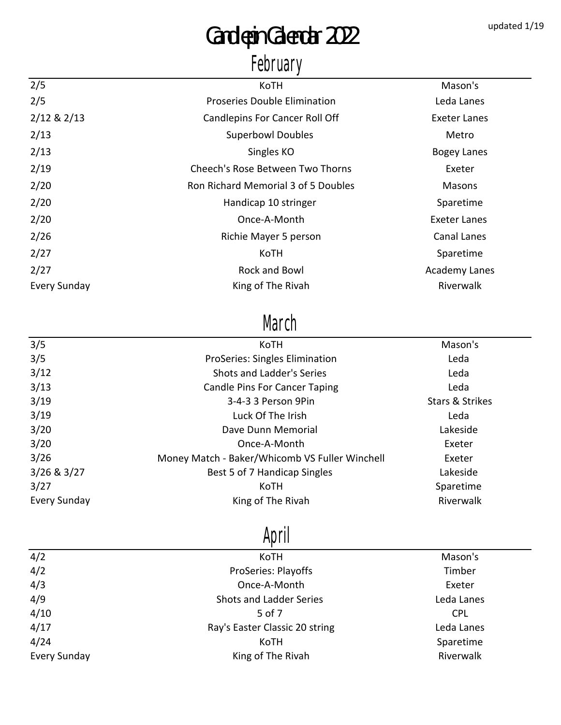# Candlepin Calendar 2022 updated 1/19

### February

| 2/5                 | KoTH                                  | Mason's             |
|---------------------|---------------------------------------|---------------------|
| 2/5                 | Proseries Double Elimination          | Leda Lanes          |
| $2/12$ & $2/13$     | <b>Candlepins For Cancer Roll Off</b> | Exeter Lanes        |
| 2/13                | <b>Superbowl Doubles</b>              | Metro               |
| 2/13                | Singles KO                            | <b>Bogey Lanes</b>  |
| 2/19                | Cheech's Rose Between Two Thorns      | Exeter              |
| 2/20                | Ron Richard Memorial 3 of 5 Doubles   | Masons              |
| 2/20                | Handicap 10 stringer                  | Sparetime           |
| 2/20                | Once-A-Month                          | <b>Exeter Lanes</b> |
| 2/26                | Richie Mayer 5 person                 | Canal Lanes         |
| 2/27                | KoTH                                  | Sparetime           |
| 2/27                | Rock and Bowl                         | Academy Lanes       |
| <b>Every Sunday</b> | King of The Rivah                     | Riverwalk           |
|                     |                                       |                     |

#### March

| 3/5             | KoTH                                           | Mason's                    |  |
|-----------------|------------------------------------------------|----------------------------|--|
| 3/5             | <b>ProSeries: Singles Elimination</b>          | Leda                       |  |
| 3/12            | Shots and Ladder's Series                      | Leda                       |  |
| 3/13            | <b>Candle Pins For Cancer Taping</b>           | Leda                       |  |
| 3/19            | 3-4-3 3 Person 9Pin                            | <b>Stars &amp; Strikes</b> |  |
| 3/19            | Luck Of The Irish                              | Leda                       |  |
| 3/20            | Dave Dunn Memorial                             | Lakeside                   |  |
| 3/20            | Once-A-Month                                   | Exeter                     |  |
| 3/26            | Money Match - Baker/Whicomb VS Fuller Winchell | Exeter                     |  |
| $3/26$ & $3/27$ | Best 5 of 7 Handicap Singles                   | Lakeside                   |  |
| 3/27            | KoTH                                           | Sparetime                  |  |
| Every Sunday    | King of The Rivah                              | Riverwalk                  |  |

## April

| 4/2                 | KoTH                           | Mason's    |
|---------------------|--------------------------------|------------|
| 4/2                 | <b>ProSeries: Playoffs</b>     | Timber     |
| 4/3                 | Once-A-Month                   | Exeter     |
| 4/9                 | <b>Shots and Ladder Series</b> | Leda Lanes |
| 4/10                | 5 of 7                         | <b>CPL</b> |
| 4/17                | Ray's Easter Classic 20 string | Leda Lanes |
| 4/24                | KoTH                           | Sparetime  |
| <b>Every Sunday</b> | King of The Rivah              | Riverwalk  |
|                     |                                |            |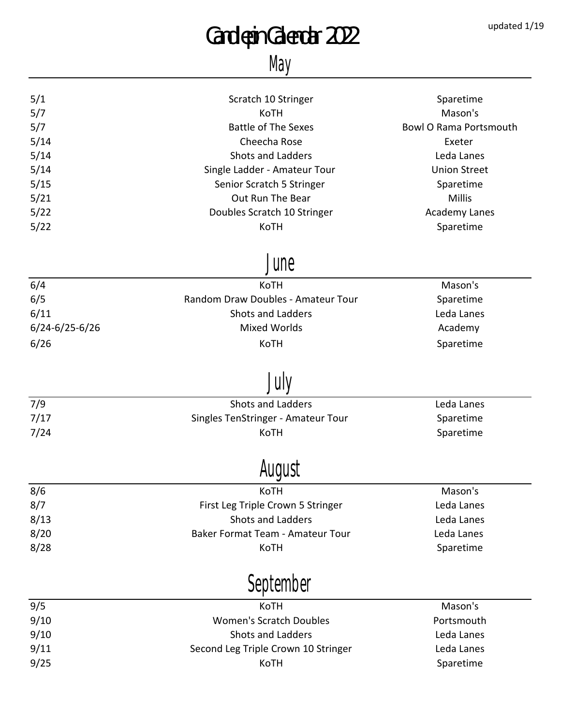# Candlepin Calendar 2022 updated 1/19

#### May

| 5/1                  | Scratch 10 Stringer                 | Sparetime                     |
|----------------------|-------------------------------------|-------------------------------|
| 5/7                  | KoTH                                | Mason's                       |
| 5/7                  | <b>Battle of The Sexes</b>          | <b>Bowl O Rama Portsmouth</b> |
| 5/14                 | Cheecha Rose                        | Exeter                        |
| 5/14                 | <b>Shots and Ladders</b>            | Leda Lanes                    |
| 5/14                 | Single Ladder - Amateur Tour        | <b>Union Street</b>           |
| 5/15                 | Senior Scratch 5 Stringer           | Sparetime                     |
| 5/21                 | Out Run The Bear                    | <b>Millis</b>                 |
| 5/22                 | Doubles Scratch 10 Stringer         | <b>Academy Lanes</b>          |
| 5/22                 | KoTH                                | Sparetime                     |
|                      | June                                |                               |
| 6/4                  | KoTH                                | Mason's                       |
| 6/5                  | Random Draw Doubles - Amateur Tour  | Sparetime                     |
| 6/11                 | <b>Shots and Ladders</b>            | Leda Lanes                    |
| $6/24 - 6/25 - 6/26$ | <b>Mixed Worlds</b>                 | Academy                       |
| 6/26                 | KoTH                                | Sparetime                     |
|                      |                                     |                               |
| 7/9                  | <b>Shots and Ladders</b>            | Leda Lanes                    |
| 7/17                 | Singles TenStringer - Amateur Tour  | Sparetime                     |
| 7/24                 | KoTH                                | Sparetime                     |
|                      |                                     |                               |
| 8/6                  | котн                                | Mason's                       |
| 8/7                  | First Leg Triple Crown 5 Stringer   | Leda Lanes                    |
| 8/13                 | <b>Shots and Ladders</b>            | Leda Lanes                    |
| 8/20                 | Baker Format Team - Amateur Tour    | Leda Lanes                    |
| 8/28                 | KoTH                                | Sparetime                     |
|                      | September                           |                               |
| 9/5                  | KoTH                                | Mason's                       |
| 9/10                 | <b>Women's Scratch Doubles</b>      | Portsmouth                    |
| 9/10                 | Shots and Ladders                   | Leda Lanes                    |
| 9/11                 | Second Leg Triple Crown 10 Stringer | Leda Lanes                    |
| 9/25                 | KoTH                                | Sparetime                     |